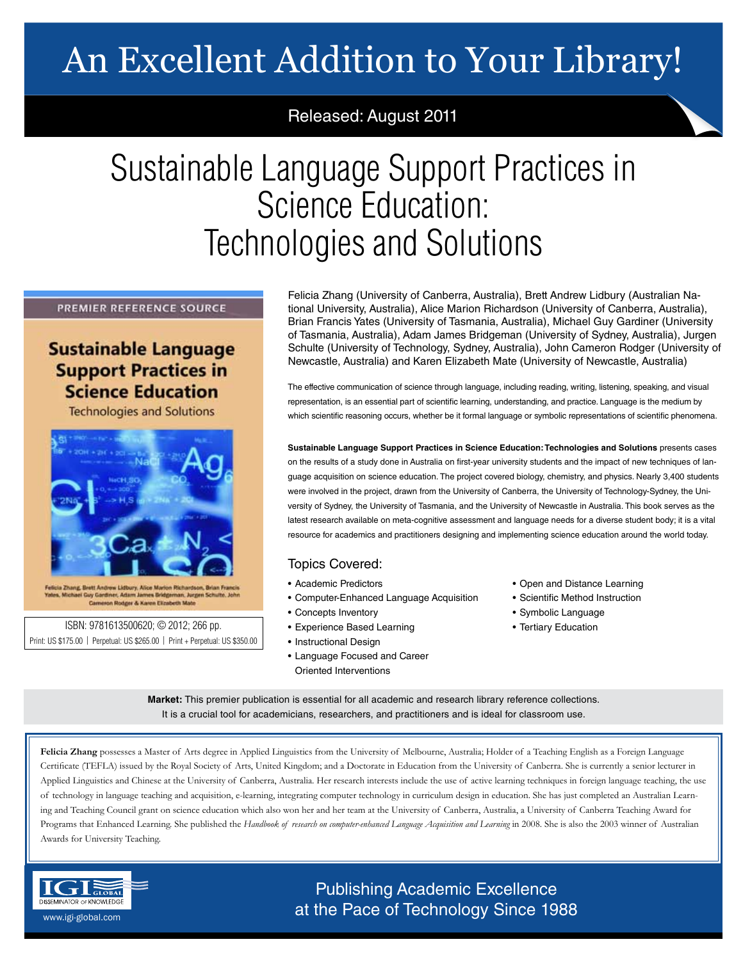# An Excellent Addition to Your Library!

## Released: August 2011

# Sustainable Language Support Practices in Science Education: Technologies and Solutions

### PREMIER REFERENCE SOURCE

## **Sustainable Language Support Practices in Science Education**

**Technologies and Solutions** 



ei Guy Gardiner, Adam J nes Bridgeman, Jurgen Schutte, John Cameron Rodger & Karen Elizabeth Mate

ISBN: 9781613500620; © 2012; 266 pp. • Tertiary Education Print: US \$175.00 | Perpetual: US \$265.00 | Print + Perpetual: US \$350.00

Felicia Zhang (University of Canberra, Australia), Brett Andrew Lidbury (Australian National University, Australia), Alice Marion Richardson (University of Canberra, Australia), Brian Francis Yates (University of Tasmania, Australia), Michael Guy Gardiner (University of Tasmania, Australia), Adam James Bridgeman (University of Sydney, Australia), Jurgen Schulte (University of Technology, Sydney, Australia), John Cameron Rodger (University of Newcastle, Australia) and Karen Elizabeth Mate (University of Newcastle, Australia)

The effective communication of science through language, including reading, writing, listening, speaking, and visual representation, is an essential part of scientific learning, understanding, and practice. Language is the medium by which scientific reasoning occurs, whether be it formal language or symbolic representations of scientific phenomena.

**Sustainable Language Support Practices in Science Education: Technologies and Solutions** presents cases on the results of a study done in Australia on first-year university students and the impact of new techniques of language acquisition on science education. The project covered biology, chemistry, and physics. Nearly 3,400 students were involved in the project, drawn from the University of Canberra, the University of Technology-Sydney, the University of Sydney, the University of Tasmania, and the University of Newcastle in Australia. This book serves as the latest research available on meta-cognitive assessment and language needs for a diverse student body; it is a vital resource for academics and practitioners designing and implementing science education around the world today.

## Topics Covered:

- Academic Predictors
- Computer-Enhanced Language Acquisition
- Concepts Inventory
- Experience Based Learning
- Instructional Design
- Language Focused and Career Oriented Interventions
- Open and Distance Learning
- Scientific Method Instruction
- Symbolic Language
- 

**Market:** This premier publication is essential for all academic and research library reference collections. It is a crucial tool for academicians, researchers, and practitioners and is ideal for classroom use.

Felicia Zhang possesses a Master of Arts degree in Applied Linguistics from the University of Melbourne, Australia; Holder of a Teaching English as a Foreign Language Certificate (TEFLA) issued by the Royal Society of Arts, United Kingdom; and a Doctorate in Education from the University of Canberra. She is currently a senior lecturer in Applied Linguistics and Chinese at the University of Canberra, Australia. Her research interests include the use of active learning techniques in foreign language teaching, the use of technology in language teaching and acquisition, e-learning, integrating computer technology in curriculum design in education. She has just completed an Australian Learning and Teaching Council grant on science education which also won her and her team at the University of Canberra, Australia, a University of Canberra Teaching Award for Programs that Enhanced Learning. She published the Handbook of research on computer-enhanced Language Acquisition and Learning in 2008. She is also the 2003 winner of Australian Awards for University Teaching.



Publishing Academic Excellence **DISSEMINATOR OF KNOWLEDGE at the Pace of Technology Since 1988**